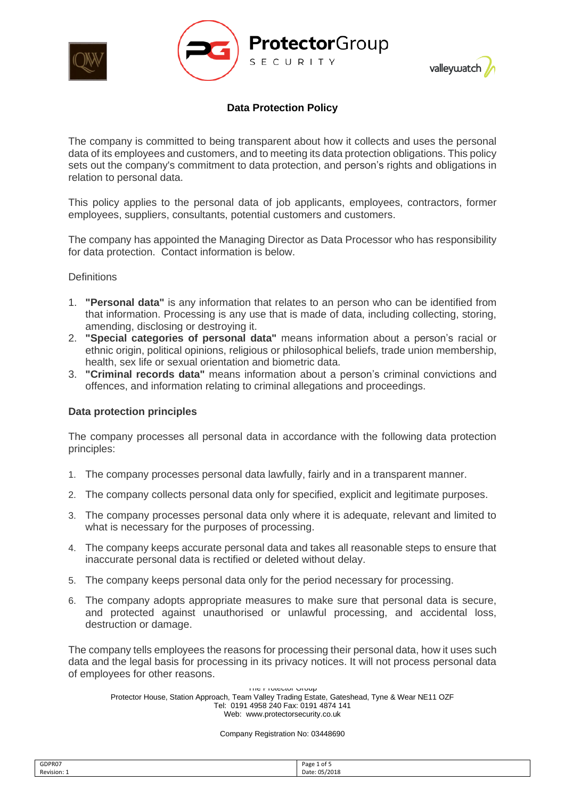





The company is committed to being transparent about how it collects and uses the personal data of its employees and customers, and to meeting its data protection obligations. This policy sets out the company's commitment to data protection, and person's rights and obligations in relation to personal data.

This policy applies to the personal data of job applicants, employees, contractors, former employees, suppliers, consultants, potential customers and customers.

The company has appointed the Managing Director as Data Processor who has responsibility for data protection. Contact information is below.

#### **Definitions**

- 1. **"Personal data"** is any information that relates to an person who can be identified from that information. Processing is any use that is made of data, including collecting, storing, amending, disclosing or destroying it.
- 2. **"Special categories of personal data"** means information about a person's racial or ethnic origin, political opinions, religious or philosophical beliefs, trade union membership, health, sex life or sexual orientation and biometric data.
- 3. **"Criminal records data"** means information about a person's criminal convictions and offences, and information relating to criminal allegations and proceedings.

#### **Data protection principles**

The company processes all personal data in accordance with the following data protection principles:

- 1. The company processes personal data lawfully, fairly and in a transparent manner.
- 2. The company collects personal data only for specified, explicit and legitimate purposes.
- 3. The company processes personal data only where it is adequate, relevant and limited to what is necessary for the purposes of processing.
- 4. The company keeps accurate personal data and takes all reasonable steps to ensure that inaccurate personal data is rectified or deleted without delay.
- 5. The company keeps personal data only for the period necessary for processing.
- 6. The company adopts appropriate measures to make sure that personal data is secure, and protected against unauthorised or unlawful processing, and accidental loss, destruction or damage.

The company tells employees the reasons for processing their personal data, how it uses such data and the legal basis for processing in its privacy notices. It will not process personal data of employees for other reasons.

The Protector Group Protector House, Station Approach, Team Valley Trading Estate, Gateshead, Tyne & Wear NE11 OZF Tel: 0191 4958 240 Fax: 0191 4874 141 Web: www.protectorsecurity.co.uk

| GDPR07    | Page 1<br>1 of 5   |
|-----------|--------------------|
| Revision: | : 05/2018<br>Date: |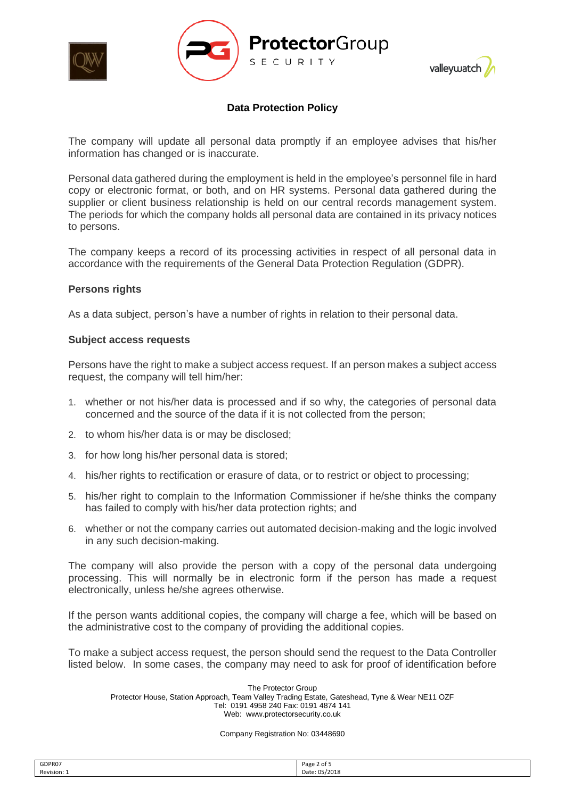





The company will update all personal data promptly if an employee advises that his/her information has changed or is inaccurate.

Personal data gathered during the employment is held in the employee's personnel file in hard copy or electronic format, or both, and on HR systems. Personal data gathered during the supplier or client business relationship is held on our central records management system. The periods for which the company holds all personal data are contained in its privacy notices to persons.

The company keeps a record of its processing activities in respect of all personal data in accordance with the requirements of the General Data Protection Regulation (GDPR).

#### **Persons rights**

As a data subject, person's have a number of rights in relation to their personal data.

#### **Subject access requests**

Persons have the right to make a subject access request. If an person makes a subject access request, the company will tell him/her:

- 1. whether or not his/her data is processed and if so why, the categories of personal data concerned and the source of the data if it is not collected from the person;
- 2. to whom his/her data is or may be disclosed;
- 3. for how long his/her personal data is stored;
- 4. his/her rights to rectification or erasure of data, or to restrict or object to processing;
- 5. his/her right to complain to the Information Commissioner if he/she thinks the company has failed to comply with his/her data protection rights; and
- 6. whether or not the company carries out automated decision-making and the logic involved in any such decision-making.

The company will also provide the person with a copy of the personal data undergoing processing. This will normally be in electronic form if the person has made a request electronically, unless he/she agrees otherwise.

If the person wants additional copies, the company will charge a fee, which will be based on the administrative cost to the company of providing the additional copies.

To make a subject access request, the person should send the request to the Data Controller listed below. In some cases, the company may need to ask for proof of identification before

The Protector Group Protector House, Station Approach, Team Valley Trading Estate, Gateshead, Tyne & Wear NE11 OZF Tel: 0191 4958 240 Fax: 0191 4874 141 Web: www.protectorsecurity.co.uk

| Revision: 1<br>Date: 05/2018 | GDPR07 | Page<br>: 2 of 5<br>$ -$ |
|------------------------------|--------|--------------------------|
|                              |        |                          |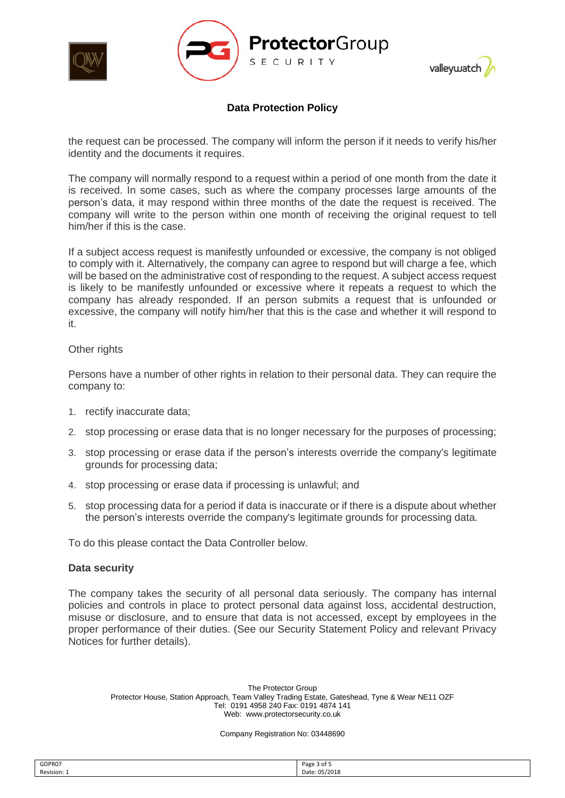





the request can be processed. The company will inform the person if it needs to verify his/her identity and the documents it requires.

The company will normally respond to a request within a period of one month from the date it is received. In some cases, such as where the company processes large amounts of the person's data, it may respond within three months of the date the request is received. The company will write to the person within one month of receiving the original request to tell him/her if this is the case.

If a subject access request is manifestly unfounded or excessive, the company is not obliged to comply with it. Alternatively, the company can agree to respond but will charge a fee, which will be based on the administrative cost of responding to the request. A subject access request is likely to be manifestly unfounded or excessive where it repeats a request to which the company has already responded. If an person submits a request that is unfounded or excessive, the company will notify him/her that this is the case and whether it will respond to it.

#### Other rights

Persons have a number of other rights in relation to their personal data. They can require the company to:

- 1. rectify inaccurate data;
- 2. stop processing or erase data that is no longer necessary for the purposes of processing;
- 3. stop processing or erase data if the person's interests override the company's legitimate grounds for processing data;
- 4. stop processing or erase data if processing is unlawful; and
- 5. stop processing data for a period if data is inaccurate or if there is a dispute about whether the person's interests override the company's legitimate grounds for processing data.

To do this please contact the Data Controller below.

## **Data security**

The company takes the security of all personal data seriously. The company has internal policies and controls in place to protect personal data against loss, accidental destruction, misuse or disclosure, and to ensure that data is not accessed, except by employees in the proper performance of their duties. (See our Security Statement Policy and relevant Privacy Notices for further details).

The Protector Group Protector House, Station Approach, Team Valley Trading Estate, Gateshead, Tyne & Wear NE11 OZF Tel: 0191 4958 240 Fax: 0191 4874 141 Web: www.protectorsecurity.co.uk

| GDPR07      | Page<br>Rot S |
|-------------|---------------|
| Revision: 1 | nata          |
|             |               |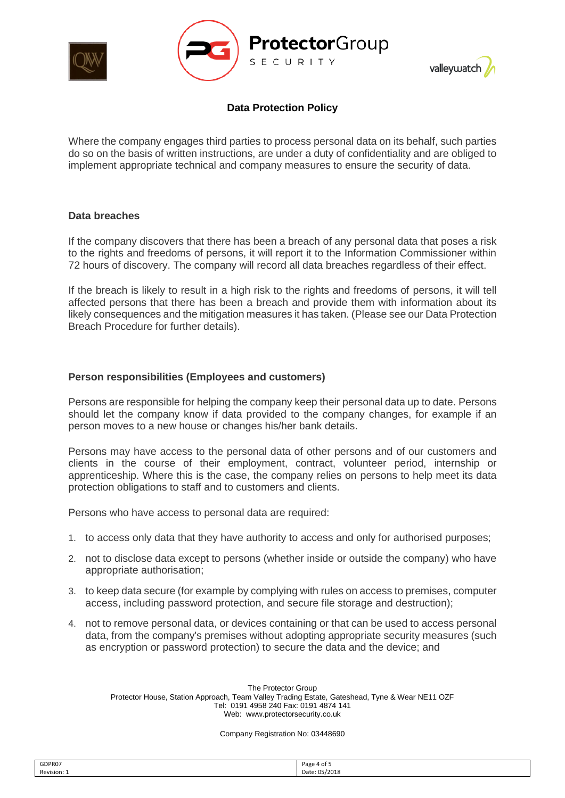



Where the company engages third parties to process personal data on its behalf, such parties do so on the basis of written instructions, are under a duty of confidentiality and are obliged to implement appropriate technical and company measures to ensure the security of data.

#### **Data breaches**

 $\overline{\phantom{a}}$ 

If the company discovers that there has been a breach of any personal data that poses a risk to the rights and freedoms of persons, it will report it to the Information Commissioner within 72 hours of discovery. The company will record all data breaches regardless of their effect.

If the breach is likely to result in a high risk to the rights and freedoms of persons, it will tell affected persons that there has been a breach and provide them with information about its likely consequences and the mitigation measures it has taken. (Please see our Data Protection Breach Procedure for further details).

## **Person responsibilities (Employees and customers)**

Persons are responsible for helping the company keep their personal data up to date. Persons should let the company know if data provided to the company changes, for example if an person moves to a new house or changes his/her bank details.

Persons may have access to the personal data of other persons and of our customers and clients in the course of their employment, contract, volunteer period, internship or apprenticeship. Where this is the case, the company relies on persons to help meet its data protection obligations to staff and to customers and clients.

Persons who have access to personal data are required:

- 1. to access only data that they have authority to access and only for authorised purposes;
- 2. not to disclose data except to persons (whether inside or outside the company) who have appropriate authorisation;
- 3. to keep data secure (for example by complying with rules on access to premises, computer access, including password protection, and secure file storage and destruction);
- 4. not to remove personal data, or devices containing or that can be used to access personal data, from the company's premises without adopting appropriate security measures (such as encryption or password protection) to secure the data and the device; and

The Protector Group Protector House, Station Approach, Team Valley Trading Estate, Gateshead, Tyne & Wear NE11 OZF Tel: 0191 4958 240 Fax: 0191 4874 141 Web: www.protectorsecurity.co.uk

| GDPR07    | Page 4 of $\mathfrak{\scriptstyle S}$ |
|-----------|---------------------------------------|
| Revision: | Date: 05/2018                         |
|           |                                       |